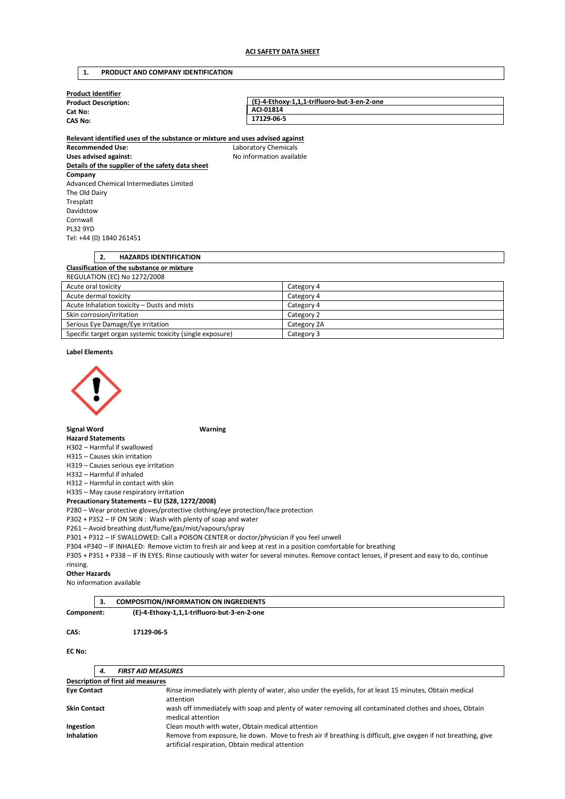# **1. PRODUCT AND COMPANY IDENTIFICATION**

| <b>Product Identifier</b>   |                                             |  |  |  |
|-----------------------------|---------------------------------------------|--|--|--|
| <b>Product Description:</b> | (E)-4-Ethoxy-1,1,1-trifluoro-but-3-en-2-one |  |  |  |
| Cat No:                     | ACI-01814                                   |  |  |  |
| <b>CAS No:</b>              | 17129-06-5                                  |  |  |  |
|                             |                                             |  |  |  |

**Relevant identified uses of the substance or mixture and uses advised against Recommended Use:** Laboratory Chemicals Uses advised against: Moleco and Moleco available **Details of the supplier of the safety data sheet Company**  Advanced Chemical Intermediates Limited The Old Dairy Tresplatt Davidstow Cornwall PL32 9YD Tel: +44 (0) 1840 261451

# **2. HAZARDS IDENTIFICATION Classification of the substance or mixture**  REGULATION (EC) No 1272/2008

| Acute oral toxicity                                       | Category 4  |
|-----------------------------------------------------------|-------------|
| Acute dermal toxicity                                     | Category 4  |
| Acute Inhalation toxicity – Dusts and mists               | Category 4  |
| Skin corrosion/irritation                                 | Category 2  |
| Serious Eye Damage/Eye irritation                         | Category 2A |
| Specific target organ systemic toxicity (single exposure) | Category 3  |

## **Label Elements**



# **Signal Word Warning**

## **Hazard Statements**

H302 – Harmful if swallowed

H315 – Causes skin irritation

H319 – Causes serious eye irritation

H332 – Harmful if inhaled

H312 – Harmful in contact with skin

H335 – May cause respiratory irritation

**Precautionary Statements – EU (S28, 1272/2008)** 

P280 – Wear protective gloves/protective clothing/eye protection/face protection

P302 + P352 – IF ON SKIN : Wash with plenty of soap and water

P261 – Avoid breathing dust/fume/gas/mist/vapours/spray

P301 + P312 – IF SWALLOWED: Call a POISON CENTER or doctor/physician if you feel unwell

P304 +P340 – IF INHALED: Remove victim to fresh air and keep at rest in a position comfortable for breathing

P305 + P351 + P338 – IF IN EYES: Rinse cautiously with water for several minutes. Remove contact lenses, if present and easy to do, continue rinsing.

#### **Other Hazards**

No information available

|            | <b>COMPOSITION/INFORMATION ON INGREDIENTS</b> |  |
|------------|-----------------------------------------------|--|
| Component: | (E)-4-Ethoxy-1,1,1-trifluoro-but-3-en-2-one   |  |
| CAS:       | 17129-06-5                                    |  |

#### **EC No:**

| 4.                                | <b>FIRST AID MEASURES</b>                                                                                                                                           |  |  |  |  |
|-----------------------------------|---------------------------------------------------------------------------------------------------------------------------------------------------------------------|--|--|--|--|
| Description of first aid measures |                                                                                                                                                                     |  |  |  |  |
| <b>Eve Contact</b>                | Rinse immediately with plenty of water, also under the eyelids, for at least 15 minutes, Obtain medical<br>attention                                                |  |  |  |  |
| <b>Skin Contact</b>               | wash off immediately with soap and plenty of water removing all contaminated clothes and shoes, Obtain<br>medical attention                                         |  |  |  |  |
| Ingestion                         | Clean mouth with water, Obtain medical attention                                                                                                                    |  |  |  |  |
| <b>Inhalation</b>                 | Remove from exposure, lie down. Move to fresh air if breathing is difficult, give oxygen if not breathing, give<br>artificial respiration, Obtain medical attention |  |  |  |  |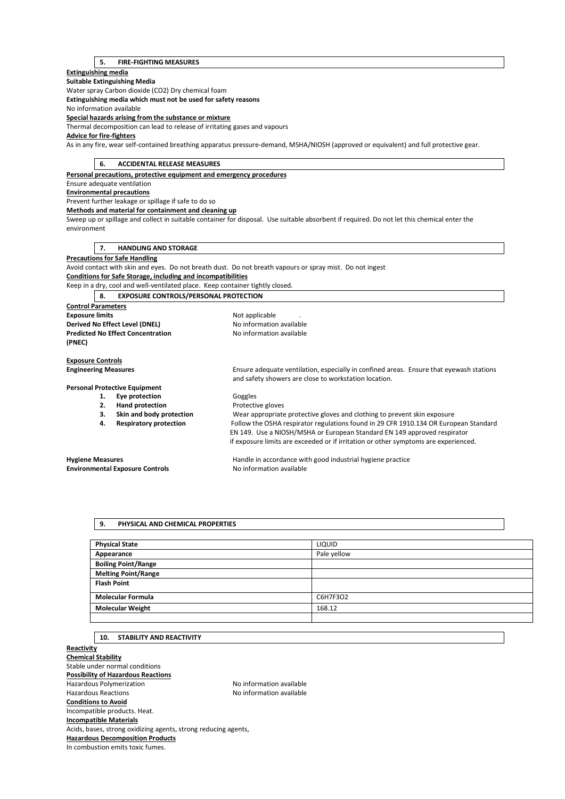# **5. FIRE-FIGHTING MEASURES**

## **Extinguishing media**

#### **Suitable Extinguishing Media**  Water spray Carbon dioxide (CO2) Dry chemical foam

**Extinguishing media which must not be used for safety reasons** 

No information available

# **Special hazards arising from the substance or mixture**

Thermal decomposition can lead to release of irritating gases and vapours

# **Advice for fire-fighters**

As in any fire, wear self-contained breathing apparatus pressure-demand, MSHA/NIOSH (approved or equivalent) and full protective gear.

# **6. ACCIDENTAL RELEASE MEASURES**

**Personal precautions, protective equipment and emergency procedures** 

# Ensure adequate ventilation

**Environmental precautions** 

Prevent further leakage or spillage if safe to do so

**Methods and material for containment and cleaning up** 

Sweep up or spillage and collect in suitable container for disposal. Use suitable absorbent if required. Do not let this chemical enter the environment

# **7. HANDLING AND STORAGE**

**Precautions for Safe Handling** 

Avoid contact with skin and eyes. Do not breath dust. Do not breath vapours or spray mist. Do not ingest **Conditions for Safe Storage, including and incompatibilities** 

Keep in a dry, cool and well-ventilated place. Keep container tightly closed.

# **8. EXPOSURE CONTROLS/PERSONAL PROTECTION**

**Control Parameters Exposure limits Exposure limits Not applicable** . **Derived No Effect Level (DNEL)** No information available **Predicted No Effect Concentration** No information available **(PNEC)** 

# **Exposure Controls**

# **Personal Protective Equipment**

- 1. **Eye protection Goggles**
- 
- 
- 

**Engineering Measures** Ensure adequate ventilation, especially in confined areas. Ensure that eyewash stations and safety showers are close to workstation location.

**2. Hand protection Protective gloves 3. Skin and body protection** Wear appropriate protective gloves and clothing to prevent skin exposure **4. Respiratory protection** Follow the OSHA respirator regulations found in 29 CFR 1910.134 OR European Standard EN 149. Use a NIOSH/MSHA or European Standard EN 149 approved respirator if exposure limits are exceeded or if irritation or other symptoms are experienced.

# **Environmental Exposure Controls No information available**

**Hygiene Measures** Handle in accordance with good industrial hygiene practice

# **9. PHYSICAL AND CHEMICAL PROPERTIES**

| <b>Physical State</b>      | <b>LIQUID</b> |
|----------------------------|---------------|
| Appearance                 | Pale yellow   |
| <b>Boiling Point/Range</b> |               |
| <b>Melting Point/Range</b> |               |
| <b>Flash Point</b>         |               |
| <b>Molecular Formula</b>   | C6H7F3O2      |
| <b>Molecular Weight</b>    | 168.12        |
|                            |               |

## **10. STABILITY AND REACTIVITY**

**Reactivity Chemical Stability**  Stable under normal conditions **Possibility of Hazardous Reactions**  Hazardous Polymerization Maximum No information available Hazardous Reactions No information available **Conditions to Avoid**  Incompatible products. Heat. **Incompatible Materials**  Acids, bases, strong oxidizing agents, strong reducing agents, **Hazardous Decomposition Products**  In combustion emits toxic fumes.